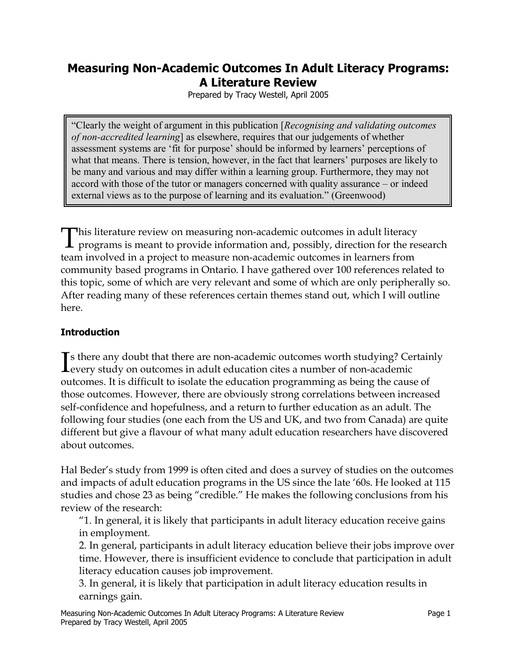# **Measuring Non-Academic Outcomes In Adult Literacy Programs: A Literature Review**

Prepared by Tracy Westell, April 2005

—Clearly the weight of argument in this publication [*Recognising and validating outcomes of non-accredited learning*] as elsewhere, requires that our judgements of whether assessment systems are "fit for purpose' should be informed by learners' perceptions of what that means. There is tension, however, in the fact that learners' purposes are likely to be many and various and may differ within a learning group. Furthermore, they may not accord with those of the tutor or managers concerned with quality assurance  $-$  or indeed external views as to the purpose of learning and its evaluation." (Greenwood)

This literature review on measuring non-academic outcomes in adult literacy programs is meant to provide information and, possibly, direction for the research team involved in a project to measure non-academic outcomes in learners from community based programs in Ontario. I have gathered over 100 references related to this topic, some of which are very relevant and some of which are only peripherally so. After reading many of these references certain themes stand out, which I will outline here.

## **Introduction**

If there any doubt that there are non-academic outcomes worth studying? Centerly study on outcomes in adult education cites a number of non-academic s there any doubt that there are non-academic outcomes worth studying? Certainly outcomes. It is difficult to isolate the education programming as being the cause of those outcomes. However, there are obviously strong correlations between increased self-confidence and hopefulness, and a return to further education as an adult. The following four studies (one each from the US and UK, and two from Canada) are quite different but give a flavour of what many adult education researchers have discovered about outcomes.

Hal Beder's study from 1999 is often cited and does a survey of studies on the outcomes and impacts of adult education programs in the US since the late '60s. He looked at 115 studies and chose 23 as being "credible." He makes the following conclusions from his review of the research:

"1. In general, it is likely that participants in adult literacy education receive gains in employment.

2. In general, participants in adult literacy education believe their jobs improve over time. However, there is insufficient evidence to conclude that participation in adult literacy education causes job improvement.

3. In general, it is likely that participation in adult literacy education results in earnings gain.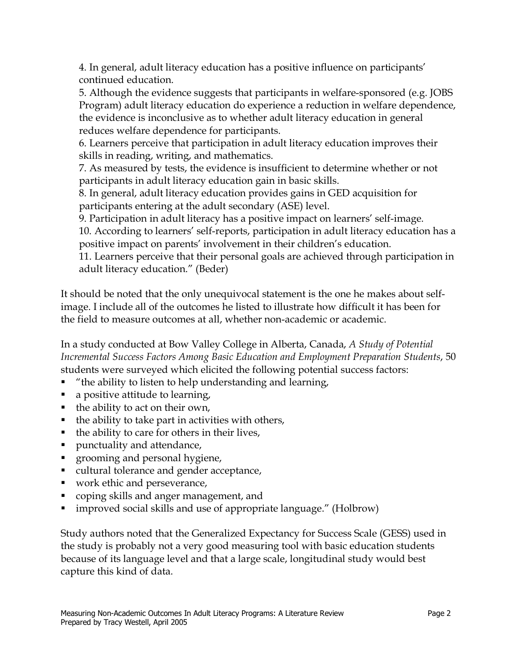4. In general, adult literacy education has a positive influence on participants' continued education.

5. Although the evidence suggests that participants in welfare-sponsored (e.g. JOBS Program) adult literacy education do experience a reduction in welfare dependence, the evidence is inconclusive as to whether adult literacy education in general reduces welfare dependence for participants.

6. Learners perceive that participation in adult literacy education improves their skills in reading, writing, and mathematics.

7. As measured by tests, the evidence is insufficient to determine whether or not participants in adult literacy education gain in basic skills.

8. In general, adult literacy education provides gains in GED acquisition for participants entering at the adult secondary (ASE) level.

9. Participation in adult literacy has a positive impact on learners' self-image.

10. According to learners' self-reports, participation in adult literacy education has a positive impact on parents' involvement in their children's education.

11. Learners perceive that their personal goals are achieved through participation in adult literacy education." (Beder)

It should be noted that the only unequivocal statement is the one he makes about selfimage. I include all of the outcomes he listed to illustrate how difficult it has been for the field to measure outcomes at all, whether non-academic or academic.

In a study conducted at Bow Valley College in Alberta, Canada, *A Study of Potential Incremental Success Factors Among Basic Education and Employment Preparation Students*, 50 students were surveyed which elicited the following potential success factors:

- ! "the ability to listen to help understanding and learning,
- a positive attitude to learning,
- ! the ability to act on their own,
- $\blacksquare$  the ability to take part in activities with others,
- $\blacksquare$  the ability to care for others in their lives,
- ! punctuality and attendance,
- ! grooming and personal hygiene,
- cultural tolerance and gender acceptance,
- ! work ethic and perseverance,
- ! coping skills and anger management, and
- improved social skills and use of appropriate language." (Holbrow)

Study authors noted that the Generalized Expectancy for Success Scale (GESS) used in the study is probably not a very good measuring tool with basic education students because of its language level and that a large scale, longitudinal study would best capture this kind of data.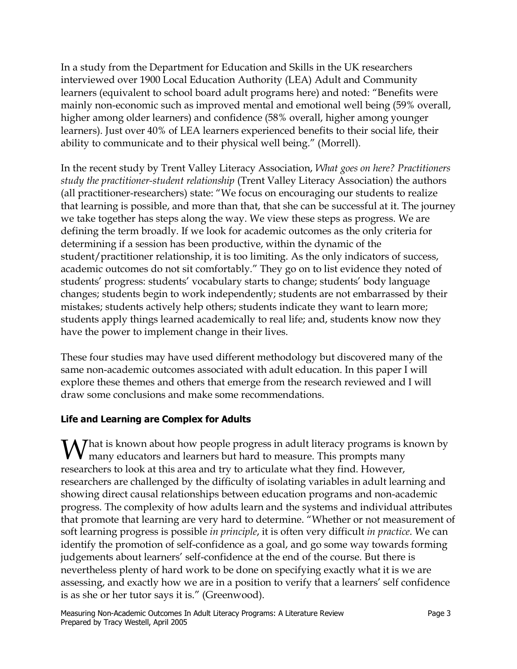In a study from the Department for Education and Skills in the UK researchers interviewed over 1900 Local Education Authority (LEA) Adult and Community learners (equivalent to school board adult programs here) and noted: "Benefits were mainly non-economic such as improved mental and emotional well being (59% overall, higher among older learners) and confidence (58% overall, higher among younger learners). Just over 40% of LEA learners experienced benefits to their social life, their ability to communicate and to their physical well being." (Morrell).

In the recent study by Trent Valley Literacy Association, *What goes on here? Practitioners study the practitioner-student relationship* (Trent Valley Literacy Association) the authors (all practitioner-researchers) state: "We focus on encouraging our students to realize that learning is possible, and more than that, that she can be successful at it. The journey we take together has steps along the way. We view these steps as progress. We are defining the term broadly. If we look for academic outcomes as the only criteria for determining if a session has been productive, within the dynamic of the student/practitioner relationship, it is too limiting. As the only indicators of success, academic outcomes do not sit comfortably." They go on to list evidence they noted of students' progress: students' vocabulary starts to change; students' body language changes; students begin to work independently; students are not embarrassed by their mistakes; students actively help others; students indicate they want to learn more; students apply things learned academically to real life; and, students know now they have the power to implement change in their lives.

These four studies may have used different methodology but discovered many of the same non-academic outcomes associated with adult education. In this paper I will explore these themes and others that emerge from the research reviewed and I will draw some conclusions and make some recommendations.

# **Life and Learning are Complex for Adults**

 $\Lambda$  *T* hat is known about how people progress in adult literacy programs is known by many educators and learners but hard to measure. This prompts many researchers to look at this area and try to articulate what they find. However, researchers are challenged by the difficulty of isolating variables in adult learning and showing direct causal relationships between education programs and non-academic progress. The complexity of how adults learn and the systems and individual attributes that promote that learning are very hard to determine. "Whether or not measurement of soft learning progress is possible *in principle*, it is often very difficult *in practice*. We can identify the promotion of self-confidence as a goal, and go some way towards forming judgements about learners' self-confidence at the end of the course. But there is nevertheless plenty of hard work to be done on specifying exactly what it is we are assessing, and exactly how we are in a position to verify that a learners' self confidence is as she or her tutor says it is." (Greenwood).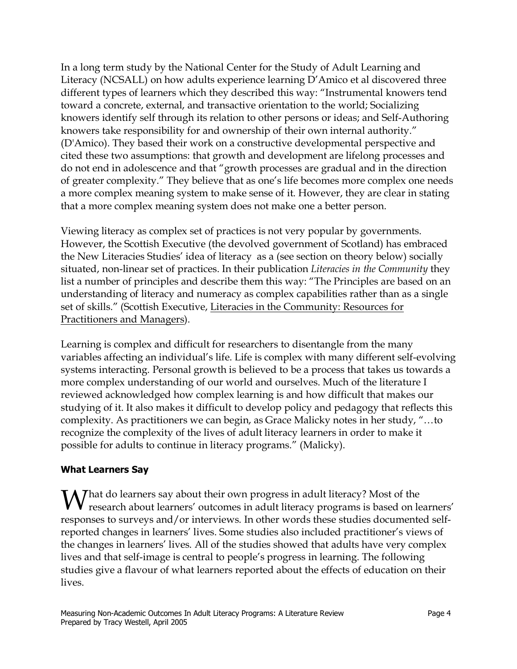In a long term study by the National Center for the Study of Adult Learning and Literacy (NCSALL) on how adults experience learning D'Amico et al discovered three different types of learners which they described this way: "Instrumental knowers tend toward a concrete, external, and transactive orientation to the world; Socializing knowers identify self through its relation to other persons or ideas; and Self-Authoring knowers take responsibility for and ownership of their own internal authority." (D'Amico). They based their work on a constructive developmental perspective and cited these two assumptions: that growth and development are lifelong processes and do not end in adolescence and that "growth processes are gradual and in the direction of greater complexity." They believe that as one's life becomes more complex one needs a more complex meaning system to make sense of it. However, they are clear in stating that a more complex meaning system does not make one a better person.

Viewing literacy as complex set of practices is not very popular by governments. However, the Scottish Executive (the devolved government of Scotland) has embraced the New Literacies Studies' idea of literacy as a (see section on theory below) socially situated, non-linear set of practices. In their publication *Literacies in the Community* they list a number of principles and describe them this way: "The Principles are based on an understanding of literacy and numeracy as complex capabilities rather than as a single set of skills." (Scottish Executive, Literacies in the Community: Resources for Practitioners and Managers).

Learning is complex and difficult for researchers to disentangle from the many variables affecting an individual's life. Life is complex with many different self-evolving systems interacting. Personal growth is believed to be a process that takes us towards a more complex understanding of our world and ourselves. Much of the literature I reviewed acknowledged how complex learning is and how difficult that makes our studying of it. It also makes it difficult to develop policy and pedagogy that reflects this complexity. As practitioners we can begin, as Grace Malicky notes in her study, "…to recognize the complexity of the lives of adult literacy learners in order to make it possible for adults to continue in literacy programs." (Malicky).

## **What Learners Say**

 $M$ hat do learners say about their own progress in adult literacy? Most of the research about learners' outcomes in adult literacy programs is based on learners' responses to surveys and/or interviews. In other words these studies documented selfreported changes in learners' lives. Some studies also included practitioner's views of the changes in learners' lives. All of the studies showed that adults have very complex lives and that self-image is central to people's progress in learning. The following studies give a flavour of what learners reported about the effects of education on their lives.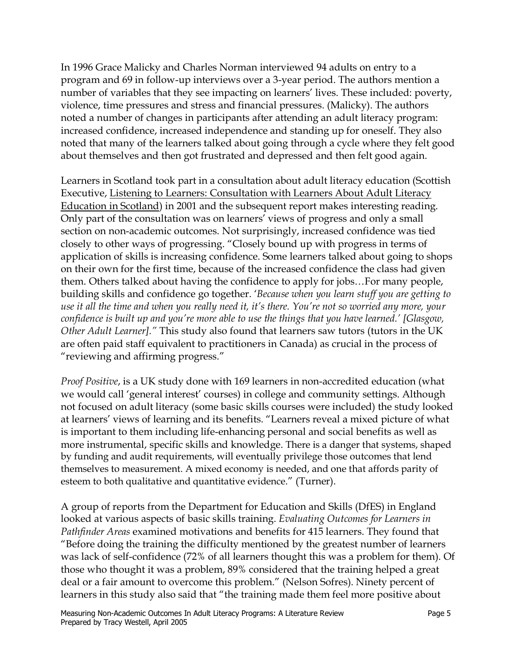In 1996 Grace Malicky and Charles Norman interviewed 94 adults on entry to a program and 69 in follow-up interviews over a 3-year period. The authors mention a number of variables that they see impacting on learners' lives. These included: poverty, violence, time pressures and stress and financial pressures. (Malicky). The authors noted a number of changes in participants after attending an adult literacy program: increased confidence, increased independence and standing up for oneself. They also noted that many of the learners talked about going through a cycle where they felt good about themselves and then got frustrated and depressed and then felt good again.

Learners in Scotland took part in a consultation about adult literacy education (Scottish Executive, Listening to Learners: Consultation with Learners About Adult Literacy Education in Scotland) in 2001 and the subsequent report makes interesting reading. Only part of the consultation was on learners' views of progress and only a small section on non-academic outcomes. Not surprisingly, increased confidence was tied closely to other ways of progressing. "Closely bound up with progress in terms of application of skills is increasing confidence. Some learners talked about going to shops on their own for the first time, because of the increased confidence the class had given them. Others talked about having the confidence to apply for jobs…For many people, building skills and confidence go together. '*Because when you learn stuff you are getting to use it all the time and when you really need it, it's there. You're not so worried any more, your confidence is built up and you're more able to use the things that you have learned.' [Glasgow, Other Adult Learner]."* This study also found that learners saw tutors (tutors in the UK are often paid staff equivalent to practitioners in Canada) as crucial in the process of "reviewing and affirming progress."

*Proof Positive*, is a UK study done with 169 learners in non-accredited education (what we would call 'general interest' courses) in college and community settings. Although not focused on adult literacy (some basic skills courses were included) the study looked at learners' views of learning and its benefits. "Learners reveal a mixed picture of what is important to them including life-enhancing personal and social benefits as well as more instrumental, specific skills and knowledge. There is a danger that systems, shaped by funding and audit requirements, will eventually privilege those outcomes that lend themselves to measurement. A mixed economy is needed, and one that affords parity of esteem to both qualitative and quantitative evidence." (Turner).

A group of reports from the Department for Education and Skills (DfES) in England looked at various aspects of basic skills training. *Evaluating Outcomes for Learners in Pathfinder Areas* examined motivations and benefits for 415 learners. They found that "Before doing the training the difficulty mentioned by the greatest number of learners was lack of self-confidence (72% of all learners thought this was a problem for them). Of those who thought it was a problem, 89% considered that the training helped a great deal or a fair amount to overcome this problem." (Nelson Sofres). Ninety percent of learners in this study also said that "the training made them feel more positive about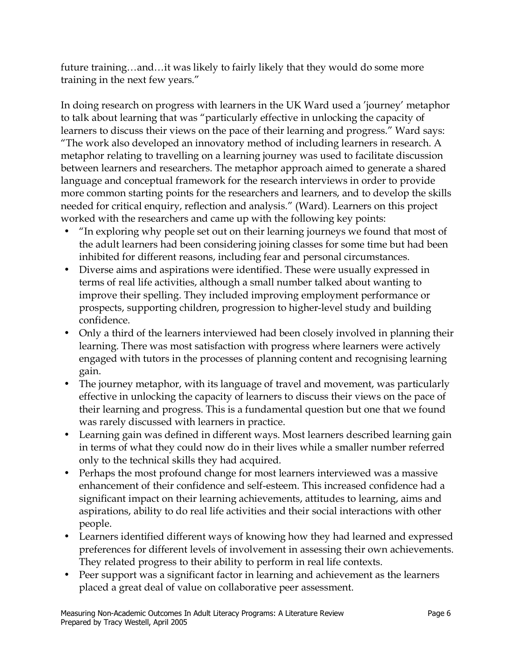future training…and…it was likely to fairly likely that they would do some more training in the next few years."

In doing research on progress with learners in the UK Ward used a 'journey' metaphor to talk about learning that was "particularly effective in unlocking the capacity of learners to discuss their views on the pace of their learning and progress." Ward says: "The work also developed an innovatory method of including learners in research. A metaphor relating to travelling on a learning journey was used to facilitate discussion between learners and researchers. The metaphor approach aimed to generate a shared language and conceptual framework for the research interviews in order to provide more common starting points for the researchers and learners, and to develop the skills needed for critical enquiry, reflection and analysis." (Ward). Learners on this project worked with the researchers and came up with the following key points:

- "In exploring why people set out on their learning journeys we found that most of the adult learners had been considering joining classes for some time but had been inhibited for different reasons, including fear and personal circumstances.
- Diverse aims and aspirations were identified. These were usually expressed in terms of real life activities, although a small number talked about wanting to improve their spelling. They included improving employment performance or prospects, supporting children, progression to higher-level study and building confidence.
- Only a third of the learners interviewed had been closely involved in planning their learning. There was most satisfaction with progress where learners were actively engaged with tutors in the processes of planning content and recognising learning gain.
- The journey metaphor, with its language of travel and movement, was particularly effective in unlocking the capacity of learners to discuss their views on the pace of their learning and progress. This is a fundamental question but one that we found was rarely discussed with learners in practice.
- Learning gain was defined in different ways. Most learners described learning gain in terms of what they could now do in their lives while a smaller number referred only to the technical skills they had acquired.
- Perhaps the most profound change for most learners interviewed was a massive enhancement of their confidence and self-esteem. This increased confidence had a significant impact on their learning achievements, attitudes to learning, aims and aspirations, ability to do real life activities and their social interactions with other people.
- Learners identified different ways of knowing how they had learned and expressed preferences for different levels of involvement in assessing their own achievements. They related progress to their ability to perform in real life contexts.
- Peer support was a significant factor in learning and achievement as the learners placed a great deal of value on collaborative peer assessment.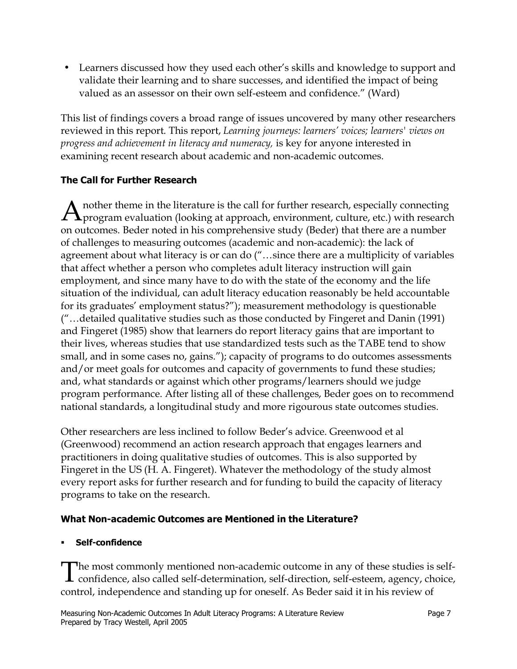• Learners discussed how they used each other's skills and knowledge to support and validate their learning and to share successes, and identified the impact of being valued as an assessor on their own self-esteem and confidence." (Ward)

This list of findings covers a broad range of issues uncovered by many other researchers reviewed in this report. This report, *Learning journeys: learners' voices; learners' views on progress and achievement in literacy and numeracy,* is key for anyone interested in examining recent research about academic and non-academic outcomes.

# **The Call for Further Research**

A nother theme in the literature is the call for further research, especially connecting program evaluation (looking at approach, environment, culture, etc.) with research on outcomes. Beder noted in his comprehensive study (Beder) that there are a number of challenges to measuring outcomes (academic and non-academic): the lack of agreement about what literacy is or can do ("…since there are a multiplicity of variables that affect whether a person who completes adult literacy instruction will gain employment, and since many have to do with the state of the economy and the life situation of the individual, can adult literacy education reasonably be held accountable for its graduates' employment status?"); measurement methodology is questionable ("…detailed qualitative studies such as those conducted by Fingeret and Danin (1991) and Fingeret (1985) show that learners do report literacy gains that are important to their lives, whereas studies that use standardized tests such as the TABE tend to show small, and in some cases no, gains."); capacity of programs to do outcomes assessments and/or meet goals for outcomes and capacity of governments to fund these studies; and, what standards or against which other programs/learners should we judge program performance. After listing all of these challenges, Beder goes on to recommend national standards, a longitudinal study and more rigourous state outcomes studies.

Other researchers are less inclined to follow Beder's advice. Greenwood et al (Greenwood) recommend an action research approach that engages learners and practitioners in doing qualitative studies of outcomes. This is also supported by Fingeret in the US (H. A. Fingeret). Whatever the methodology of the study almost every report asks for further research and for funding to build the capacity of literacy programs to take on the research.

# **What Non-academic Outcomes are Mentioned in the Literature?**

# ! **Self-confidence**

The most commonly mentioned non-academic outcome in any of these studies is self-confidence, also called self-determination, self-direction, self-esteem, agency, choice, control, independence and standing up for oneself. As Beder said it in his review of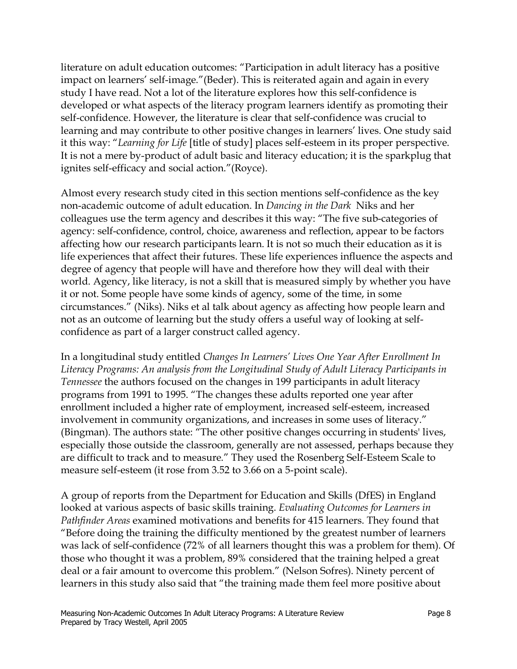literature on adult education outcomes: "Participation in adult literacy has a positive impact on learners' self-image."(Beder). This is reiterated again and again in every study I have read. Not a lot of the literature explores how this self-confidence is developed or what aspects of the literacy program learners identify as promoting their self-confidence. However, the literature is clear that self-confidence was crucial to learning and may contribute to other positive changes in learners' lives. One study said it this way: "*Learning for Life* [title of study] places self-esteem in its proper perspective. It is not a mere by-product of adult basic and literacy education; it is the sparkplug that ignites self-efficacy and social action."(Royce).

Almost every research study cited in this section mentions self-confidence as the key non-academic outcome of adult education. In *Dancing in the Dark* Niks and her colleagues use the term agency and describes it this way: "The five sub-categories of agency: self-confidence, control, choice, awareness and reflection, appear to be factors affecting how our research participants learn. It is not so much their education as it is life experiences that affect their futures. These life experiences influence the aspects and degree of agency that people will have and therefore how they will deal with their world. Agency, like literacy, is not a skill that is measured simply by whether you have it or not. Some people have some kinds of agency, some of the time, in some circumstances." (Niks). Niks et al talk about agency as affecting how people learn and not as an outcome of learning but the study offers a useful way of looking at selfconfidence as part of a larger construct called agency.

In a longitudinal study entitled *Changes In Learners' Lives One Year After Enrollment In Literacy Programs: An analysis from the Longitudinal Study of Adult Literacy Participants in Tennessee* the authors focused on the changes in 199 participants in adult literacy programs from 1991 to 1995. "The changes these adults reported one year after enrollment included a higher rate of employment, increased self-esteem, increased involvement in community organizations, and increases in some uses of literacy." (Bingman). The authors state: "The other positive changes occurring in students' lives, especially those outside the classroom, generally are not assessed, perhaps because they are difficult to track and to measure." They used the Rosenberg Self-Esteem Scale to measure self-esteem (it rose from 3.52 to 3.66 on a 5-point scale).

A group of reports from the Department for Education and Skills (DfES) in England looked at various aspects of basic skills training. *Evaluating Outcomes for Learners in Pathfinder Areas* examined motivations and benefits for 415 learners. They found that "Before doing the training the difficulty mentioned by the greatest number of learners was lack of self-confidence (72% of all learners thought this was a problem for them). Of those who thought it was a problem, 89% considered that the training helped a great deal or a fair amount to overcome this problem." (Nelson Sofres). Ninety percent of learners in this study also said that "the training made them feel more positive about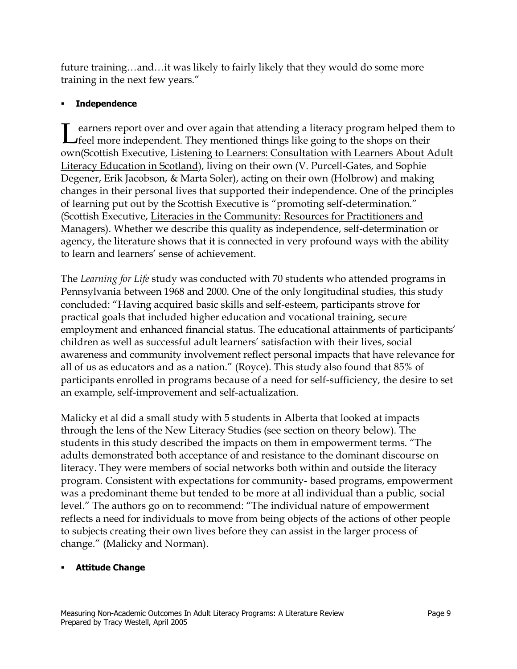future training…and…it was likely to fairly likely that they would do some more training in the next few years."

## ! **Independence**

earners report over and over again that attending a literacy program helped them to Learners report over and over again that attending a literacy program helped the feel more independent. They mentioned things like going to the shops on their own(Scottish Executive, Listening to Learners: Consultation with Learners About Adult Literacy Education in Scotland), living on their own (V. Purcell-Gates, and Sophie Degener, Erik Jacobson, & Marta Soler), acting on their own (Holbrow) and making changes in their personal lives that supported their independence. One of the principles of learning put out by the Scottish Executive is "promoting self-determination." (Scottish Executive, Literacies in the Community: Resources for Practitioners and Managers). Whether we describe this quality as independence, self-determination or agency, the literature shows that it is connected in very profound ways with the ability to learn and learners' sense of achievement.

The *Learning for Life* study was conducted with 70 students who attended programs in Pennsylvania between 1968 and 2000. One of the only longitudinal studies, this study concluded: "Having acquired basic skills and self-esteem, participants strove for practical goals that included higher education and vocational training, secure employment and enhanced financial status. The educational attainments of participants' children as well as successful adult learners' satisfaction with their lives, social awareness and community involvement reflect personal impacts that have relevance for all of us as educators and as a nation." (Royce). This study also found that 85% of participants enrolled in programs because of a need for self-sufficiency, the desire to set an example, self-improvement and self-actualization.

Malicky et al did a small study with 5 students in Alberta that looked at impacts through the lens of the New Literacy Studies (see section on theory below). The students in this study described the impacts on them in empowerment terms. "The adults demonstrated both acceptance of and resistance to the dominant discourse on literacy. They were members of social networks both within and outside the literacy program. Consistent with expectations for community- based programs, empowerment was a predominant theme but tended to be more at all individual than a public, social level." The authors go on to recommend: "The individual nature of empowerment reflects a need for individuals to move from being objects of the actions of other people to subjects creating their own lives before they can assist in the larger process of change." (Malicky and Norman).

## ! **Attitude Change**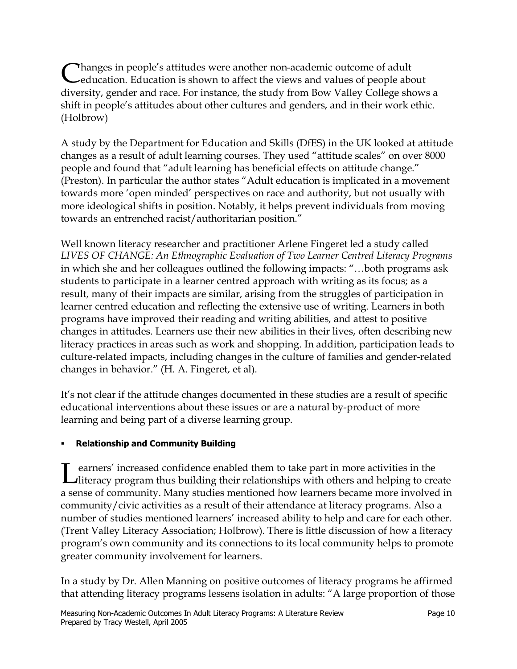Thanges in people's attitudes were another non-academic outcome of adult education. Education is shown to affect the views and values of people about diversity, gender and race. For instance, the study from Bow Valley College shows a shift in people's attitudes about other cultures and genders, and in their work ethic. (Holbrow)

A study by the Department for Education and Skills (DfES) in the UK looked at attitude changes as a result of adult learning courses. They used "attitude scales" on over 8000 people and found that "adult learning has beneficial effects on attitude change." (Preston). In particular the author states "Adult education is implicated in a movement towards more 'open minded' perspectives on race and authority, but not usually with more ideological shifts in position. Notably, it helps prevent individuals from moving towards an entrenched racist/authoritarian position."

Well known literacy researcher and practitioner Arlene Fingeret led a study called *LIVES OF CHANGE: An Ethnographic Evaluation of Two Learner Centred Literacy Programs*  in which she and her colleagues outlined the following impacts: "…both programs ask students to participate in a learner centred approach with writing as its focus; as a result, many of their impacts are similar, arising from the struggles of participation in learner centred education and reflecting the extensive use of writing. Learners in both programs have improved their reading and writing abilities, and attest to positive changes in attitudes. Learners use their new abilities in their lives, often describing new literacy practices in areas such as work and shopping. In addition, participation leads to culture-related impacts, including changes in the culture of families and gender-related changes in behavior." (H. A. Fingeret, et al).

It's not clear if the attitude changes documented in these studies are a result of specific educational interventions about these issues or are a natural by-product of more learning and being part of a diverse learning group.

# ! **Relationship and Community Building**

Learners' increased confidence enabled them to take part in more activities in the literacy program thus building their relationships with others and helping to create a sense of community. Many studies mentioned how learners became more involved in community/civic activities as a result of their attendance at literacy programs. Also a number of studies mentioned learners' increased ability to help and care for each other. (Trent Valley Literacy Association; Holbrow). There is little discussion of how a literacy program's own community and its connections to its local community helps to promote greater community involvement for learners.

In a study by Dr. Allen Manning on positive outcomes of literacy programs he affirmed that attending literacy programs lessens isolation in adults: "A large proportion of those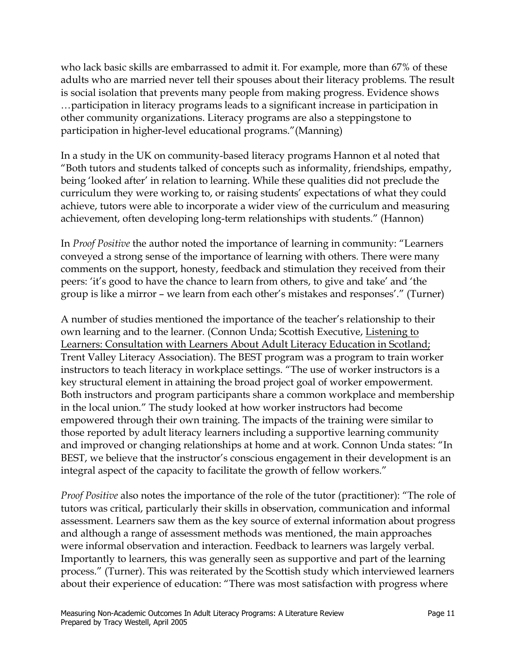who lack basic skills are embarrassed to admit it. For example, more than 67% of these adults who are married never tell their spouses about their literacy problems. The result is social isolation that prevents many people from making progress. Evidence shows …participation in literacy programs leads to a significant increase in participation in other community organizations. Literacy programs are also a steppingstone to participation in higher-level educational programs."(Manning)

In a study in the UK on community-based literacy programs Hannon et al noted that "Both tutors and students talked of concepts such as informality, friendships, empathy, being 'looked after' in relation to learning. While these qualities did not preclude the curriculum they were working to, or raising students' expectations of what they could achieve, tutors were able to incorporate a wider view of the curriculum and measuring achievement, often developing long-term relationships with students." (Hannon)

In *Proof Positive* the author noted the importance of learning in community: "Learners conveyed a strong sense of the importance of learning with others. There were many comments on the support, honesty, feedback and stimulation they received from their peers: 'it's good to have the chance to learn from others, to give and take' and 'the group is like a mirror – we learn from each other's mistakes and responses'." (Turner)

A number of studies mentioned the importance of the teacher's relationship to their own learning and to the learner. (Connon Unda; Scottish Executive, Listening to Learners: Consultation with Learners About Adult Literacy Education in Scotland; Trent Valley Literacy Association). The BEST program was a program to train worker instructors to teach literacy in workplace settings. "The use of worker instructors is a key structural element in attaining the broad project goal of worker empowerment. Both instructors and program participants share a common workplace and membership in the local union." The study looked at how worker instructors had become empowered through their own training. The impacts of the training were similar to those reported by adult literacy learners including a supportive learning community and improved or changing relationships at home and at work. Connon Unda states: "In BEST, we believe that the instructor's conscious engagement in their development is an integral aspect of the capacity to facilitate the growth of fellow workers."

*Proof Positive* also notes the importance of the role of the tutor (practitioner): "The role of tutors was critical, particularly their skills in observation, communication and informal assessment. Learners saw them as the key source of external information about progress and although a range of assessment methods was mentioned, the main approaches were informal observation and interaction. Feedback to learners was largely verbal. Importantly to learners, this was generally seen as supportive and part of the learning process." (Turner). This was reiterated by the Scottish study which interviewed learners about their experience of education: "There was most satisfaction with progress where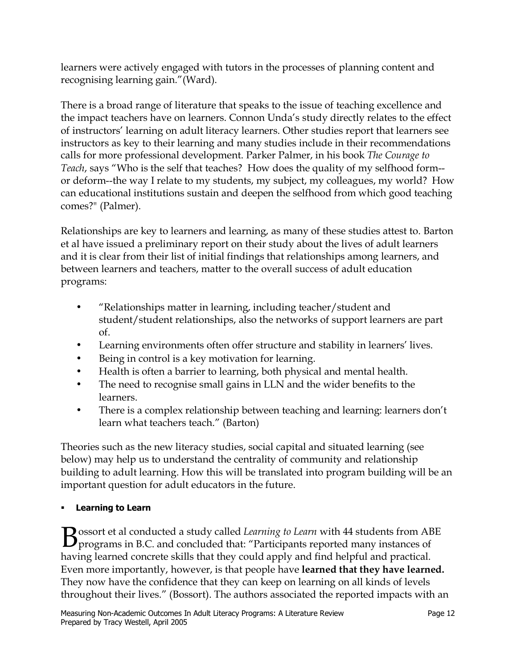learners were actively engaged with tutors in the processes of planning content and recognising learning gain."(Ward).

There is a broad range of literature that speaks to the issue of teaching excellence and the impact teachers have on learners. Connon Unda's study directly relates to the effect of instructors' learning on adult literacy learners. Other studies report that learners see instructors as key to their learning and many studies include in their recommendations calls for more professional development. Parker Palmer, in his book *The Courage to Teach*, says "Who is the self that teaches? How does the quality of my selfhood form- or deform--the way I relate to my students, my subject, my colleagues, my world? How can educational institutions sustain and deepen the selfhood from which good teaching comes?" (Palmer).

Relationships are key to learners and learning, as many of these studies attest to. Barton et al have issued a preliminary report on their study about the lives of adult learners and it is clear from their list of initial findings that relationships among learners, and between learners and teachers, matter to the overall success of adult education programs:

- "Relationships matter in learning, including teacher/student and student/student relationships, also the networks of support learners are part of.
- Learning environments often offer structure and stability in learners' lives.
- Being in control is a key motivation for learning.
- Health is often a barrier to learning, both physical and mental health.
- The need to recognise small gains in LLN and the wider benefits to the learners.
- There is a complex relationship between teaching and learning: learners don't learn what teachers teach." (Barton)

Theories such as the new literacy studies, social capital and situated learning (see below) may help us to understand the centrality of community and relationship building to adult learning. How this will be translated into program building will be an important question for adult educators in the future.

# ! **Learning to Learn**

Bossort et al conducted a study called *Learning to Learn* with 44 students from ABE programs in B.C. and concluded that: "Participants reported many instances of having learned concrete skills that they could apply and find helpful and practical. Even more importantly, however, is that people have **learned that they have learned.**  They now have the confidence that they can keep on learning on all kinds of levels throughout their lives." (Bossort). The authors associated the reported impacts with an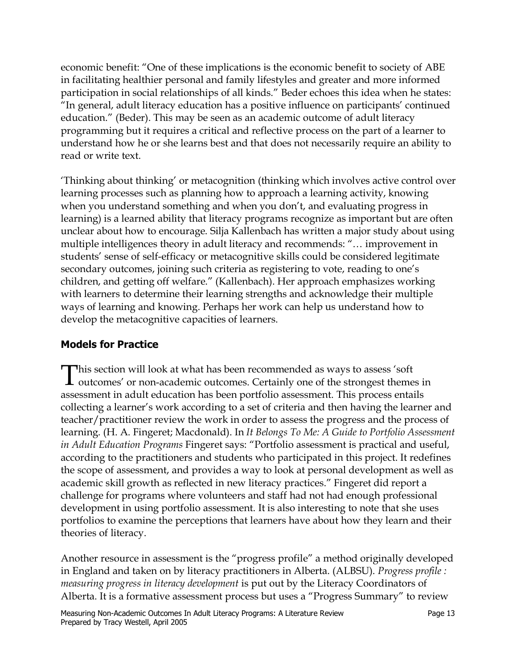economic benefit: "One of these implications is the economic benefit to society of ABE in facilitating healthier personal and family lifestyles and greater and more informed participation in social relationships of all kinds." Beder echoes this idea when he states: "In general, adult literacy education has a positive influence on participants' continued education." (Beder). This may be seen as an academic outcome of adult literacy programming but it requires a critical and reflective process on the part of a learner to understand how he or she learns best and that does not necessarily require an ability to read or write text.

'Thinking about thinking' or metacognition (thinking which involves active control over learning processes such as planning how to approach a learning activity, knowing when you understand something and when you don't, and evaluating progress in learning) is a learned ability that literacy programs recognize as important but are often unclear about how to encourage. Silja Kallenbach has written a major study about using multiple intelligences theory in adult literacy and recommends: "… improvement in students' sense of self-efficacy or metacognitive skills could be considered legitimate secondary outcomes, joining such criteria as registering to vote, reading to one's children, and getting off welfare." (Kallenbach). Her approach emphasizes working with learners to determine their learning strengths and acknowledge their multiple ways of learning and knowing. Perhaps her work can help us understand how to develop the metacognitive capacities of learners.

# **Models for Practice**

This section will look at what has been recommended as ways to assess 'soft outcomes' or non-academic outcomes. Certainly one of the strongest themes in assessment in adult education has been portfolio assessment. This process entails collecting a learner's work according to a set of criteria and then having the learner and teacher/practitioner review the work in order to assess the progress and the process of learning. (H. A. Fingeret; Macdonald). In *It Belongs To Me: A Guide to Portfolio Assessment in Adult Education Programs* Fingeret says: "Portfolio assessment is practical and useful, according to the practitioners and students who participated in this project. It redefines the scope of assessment, and provides a way to look at personal development as well as academic skill growth as reflected in new literacy practices." Fingeret did report a challenge for programs where volunteers and staff had not had enough professional development in using portfolio assessment. It is also interesting to note that she uses portfolios to examine the perceptions that learners have about how they learn and their theories of literacy.

Another resource in assessment is the "progress profile" a method originally developed in England and taken on by literacy practitioners in Alberta. (ALBSU). *Progress profile : measuring progress in literacy development* is put out by the Literacy Coordinators of Alberta. It is a formative assessment process but uses a "Progress Summary" to review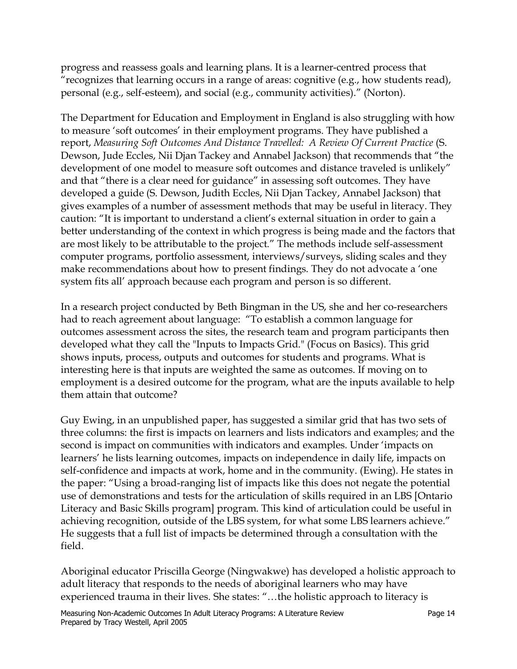progress and reassess goals and learning plans. It is a learner-centred process that "recognizes that learning occurs in a range of areas: cognitive (e.g., how students read), personal (e.g., self-esteem), and social (e.g., community activities)." (Norton).

The Department for Education and Employment in England is also struggling with how to measure 'soft outcomes' in their employment programs. They have published a report, *Measuring Soft Outcomes And Distance Travelled: A Review Of Current Practice* (S. Dewson, Jude Eccles, Nii Djan Tackey and Annabel Jackson) that recommends that "the development of one model to measure soft outcomes and distance traveled is unlikely" and that "there is a clear need for guidance" in assessing soft outcomes. They have developed a guide (S. Dewson, Judith Eccles, Nii Djan Tackey, Annabel Jackson) that gives examples of a number of assessment methods that may be useful in literacy. They caution: "It is important to understand a client's external situation in order to gain a better understanding of the context in which progress is being made and the factors that are most likely to be attributable to the project." The methods include self-assessment computer programs, portfolio assessment, interviews/surveys, sliding scales and they make recommendations about how to present findings. They do not advocate a 'one system fits all' approach because each program and person is so different.

In a research project conducted by Beth Bingman in the US, she and her co-researchers had to reach agreement about language: "To establish a common language for outcomes assessment across the sites, the research team and program participants then developed what they call the "Inputs to Impacts Grid." (Focus on Basics). This grid shows inputs, process, outputs and outcomes for students and programs. What is interesting here is that inputs are weighted the same as outcomes. If moving on to employment is a desired outcome for the program, what are the inputs available to help them attain that outcome?

Guy Ewing, in an unpublished paper, has suggested a similar grid that has two sets of three columns: the first is impacts on learners and lists indicators and examples; and the second is impact on communities with indicators and examples. Under 'impacts on learners' he lists learning outcomes, impacts on independence in daily life, impacts on self-confidence and impacts at work, home and in the community. (Ewing). He states in the paper: "Using a broad-ranging list of impacts like this does not negate the potential use of demonstrations and tests for the articulation of skills required in an LBS [Ontario Literacy and Basic Skills program] program. This kind of articulation could be useful in achieving recognition, outside of the LBS system, for what some LBS learners achieve." He suggests that a full list of impacts be determined through a consultation with the field.

Aboriginal educator Priscilla George (Ningwakwe) has developed a holistic approach to adult literacy that responds to the needs of aboriginal learners who may have experienced trauma in their lives. She states: "…the holistic approach to literacy is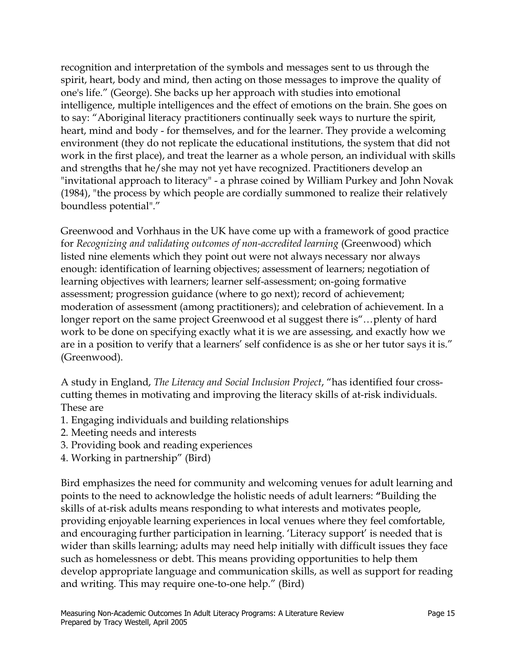recognition and interpretation of the symbols and messages sent to us through the spirit, heart, body and mind, then acting on those messages to improve the quality of one's life." (George). She backs up her approach with studies into emotional intelligence, multiple intelligences and the effect of emotions on the brain. She goes on to say: "Aboriginal literacy practitioners continually seek ways to nurture the spirit, heart, mind and body - for themselves, and for the learner. They provide a welcoming environment (they do not replicate the educational institutions, the system that did not work in the first place), and treat the learner as a whole person, an individual with skills and strengths that he/she may not yet have recognized. Practitioners develop an "invitational approach to literacy" - a phrase coined by William Purkey and John Novak (1984), "the process by which people are cordially summoned to realize their relatively boundless potential"."

Greenwood and Vorhhaus in the UK have come up with a framework of good practice for *Recognizing and validating outcomes of non-accredited learning* (Greenwood) which listed nine elements which they point out were not always necessary nor always enough: identification of learning objectives; assessment of learners; negotiation of learning objectives with learners; learner self-assessment; on-going formative assessment; progression guidance (where to go next); record of achievement; moderation of assessment (among practitioners); and celebration of achievement. In a longer report on the same project Greenwood et al suggest there is"…plenty of hard work to be done on specifying exactly what it is we are assessing, and exactly how we are in a position to verify that a learners' self confidence is as she or her tutor says it is." (Greenwood).

A study in England, *The Literacy and Social Inclusion Project*, "has identified four crosscutting themes in motivating and improving the literacy skills of at-risk individuals. These are

- 1. Engaging individuals and building relationships
- 2. Meeting needs and interests
- 3. Providing book and reading experiences
- 4. Working in partnership" (Bird)

Bird emphasizes the need for community and welcoming venues for adult learning and points to the need to acknowledge the holistic needs of adult learners: **"**Building the skills of at-risk adults means responding to what interests and motivates people, providing enjoyable learning experiences in local venues where they feel comfortable, and encouraging further participation in learning. 'Literacy support' is needed that is wider than skills learning; adults may need help initially with difficult issues they face such as homelessness or debt. This means providing opportunities to help them develop appropriate language and communication skills, as well as support for reading and writing. This may require one-to-one help." (Bird)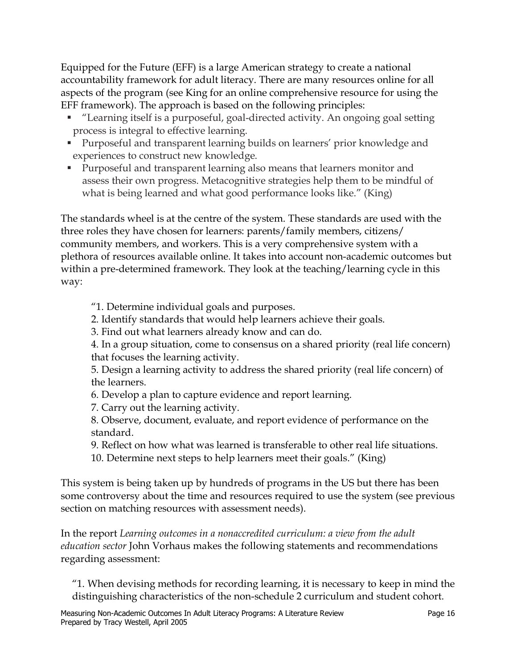Equipped for the Future (EFF) is a large American strategy to create a national accountability framework for adult literacy. There are many resources online for all aspects of the program (see King for an online comprehensive resource for using the EFF framework). The approach is based on the following principles:

- ! "Learning itself is a purposeful, goal-directed activity. An ongoing goal setting process is integral to effective learning.
- ! Purposeful and transparent learning builds on learners' prior knowledge and experiences to construct new knowledge.
- ! Purposeful and transparent learning also means that learners monitor and assess their own progress. Metacognitive strategies help them to be mindful of what is being learned and what good performance looks like." (King)

The standards wheel is at the centre of the system. These standards are used with the three roles they have chosen for learners: parents/family members, citizens/ community members, and workers. This is a very comprehensive system with a plethora of resources available online. It takes into account non-academic outcomes but within a pre-determined framework. They look at the teaching/learning cycle in this way:

"1. Determine individual goals and purposes.

2. Identify standards that would help learners achieve their goals.

3. Find out what learners already know and can do.

4. In a group situation, come to consensus on a shared priority (real life concern) that focuses the learning activity.

5. Design a learning activity to address the shared priority (real life concern) of the learners.

- 6. Develop a plan to capture evidence and report learning.
- 7. Carry out the learning activity.

8. Observe, document, evaluate, and report evidence of performance on the standard.

- 9. Reflect on how what was learned is transferable to other real life situations.
- 10. Determine next steps to help learners meet their goals." (King)

This system is being taken up by hundreds of programs in the US but there has been some controversy about the time and resources required to use the system (see previous section on matching resources with assessment needs).

In the report *Learning outcomes in a nonaccredited curriculum: a view from the adult education sector* John Vorhaus makes the following statements and recommendations regarding assessment:

"1. When devising methods for recording learning, it is necessary to keep in mind the distinguishing characteristics of the non-schedule 2 curriculum and student cohort.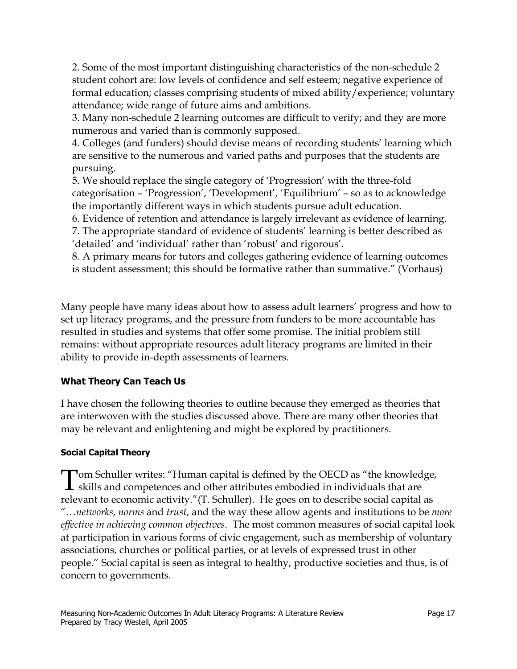2. Some of the most important distinguishing characteristics of the non-schedule 2 student cohort are: low levels of confidence and self esteem; negative experience of formal education; classes comprising students of mixed ability/experience; voluntary attendance; wide range of future aims and ambitions.

3. Many non-schedule 2 learning outcomes are difficult to verify; and they are more numerous and varied than is commonly supposed.

4. Colleges (and funders) should devise means of recording students' learning which are sensitive to the numerous and varied paths and purposes that the students are pursuing.

5. We should replace the single category of 'Progression' with the three-fold categorisation – 'Progression', 'Development', 'Equilibrium' – so as to acknowledge the importantly different ways in which students pursue adult education.

6. Evidence of retention and attendance is largely irrelevant as evidence of learning.

7. The appropriate standard of evidence of students' learning is better described as 'detailed' and 'individual' rather than 'robust' and rigorous'.

8. A primary means for tutors and colleges gathering evidence of learning outcomes is student assessment; this should be formative rather than summative." (Vorhaus)

Many people have many ideas about how to assess adult learners' progress and how to set up literacy programs, and the pressure from funders to be more accountable has resulted in studies and systems that offer some promise. The initial problem still remains: without appropriate resources adult literacy programs are limited in their ability to provide in-depth assessments of learners.

# **What Theory Can Teach Us**

I have chosen the following theories to outline because they emerged as theories that are interwoven with the studies discussed above. There are many other theories that may be relevant and enlightening and might be explored by practitioners.

## **Social Capital Theory**

Tom Schuller writes: "Human capital is defined by the OECD as "the knowledge, skills and competences and other attributes embodied in individuals that are relevant to economic activity."(T. Schuller). He goes on to describe social capital as "…*networks*, *norms* and *trust*, and the way these allow agents and institutions to be *more effective in achieving common objectives*. The most common measures of social capital look at participation in various forms of civic engagement, such as membership of voluntary associations, churches or political parties, or at levels of expressed trust in other people." Social capital is seen as integral to healthy, productive societies and thus, is of concern to governments.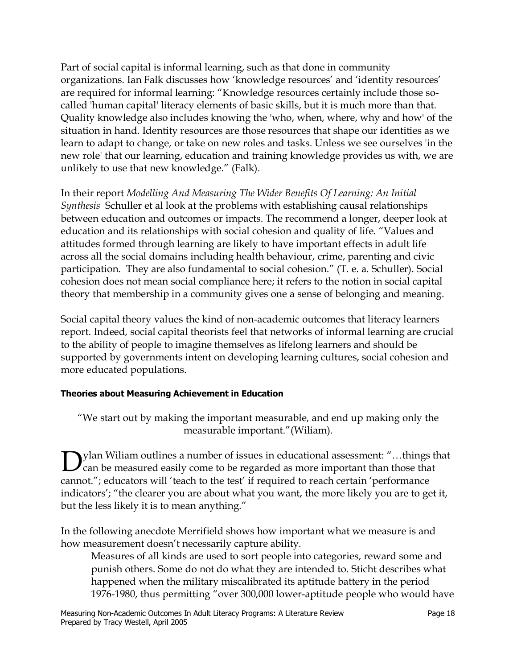Part of social capital is informal learning, such as that done in community organizations. Ian Falk discusses how 'knowledge resources' and 'identity resources' are required for informal learning: "Knowledge resources certainly include those socalled 'human capital' literacy elements of basic skills, but it is much more than that. Quality knowledge also includes knowing the 'who, when, where, why and how' of the situation in hand. Identity resources are those resources that shape our identities as we learn to adapt to change, or take on new roles and tasks. Unless we see ourselves 'in the new role' that our learning, education and training knowledge provides us with, we are unlikely to use that new knowledge." (Falk).

In their report *Modelling And Measuring The Wider Benefits Of Learning: An Initial Synthesis* Schuller et al look at the problems with establishing causal relationships between education and outcomes or impacts. The recommend a longer, deeper look at education and its relationships with social cohesion and quality of life. "Values and attitudes formed through learning are likely to have important effects in adult life across all the social domains including health behaviour, crime, parenting and civic participation. They are also fundamental to social cohesion." (T. e. a. Schuller). Social cohesion does not mean social compliance here; it refers to the notion in social capital theory that membership in a community gives one a sense of belonging and meaning.

Social capital theory values the kind of non-academic outcomes that literacy learners report. Indeed, social capital theorists feel that networks of informal learning are crucial to the ability of people to imagine themselves as lifelong learners and should be supported by governments intent on developing learning cultures, social cohesion and more educated populations.

## **Theories about Measuring Achievement in Education**

"We start out by making the important measurable, and end up making only the measurable important."(Wiliam).

Dylan Wiliam outlines a number of issues in educational assessment: "...things that can be measured easily come to be regarded as more important than those that cannot."; educators will 'teach to the test' if required to reach certain 'performance indicators'; "the clearer you are about what you want, the more likely you are to get it, but the less likely it is to mean anything."

In the following anecdote Merrifield shows how important what we measure is and how measurement doesn't necessarily capture ability.

Measures of all kinds are used to sort people into categories, reward some and punish others. Some do not do what they are intended to. Sticht describes what happened when the military miscalibrated its aptitude battery in the period 1976-1980, thus permitting "over 300,000 lower-aptitude people who would have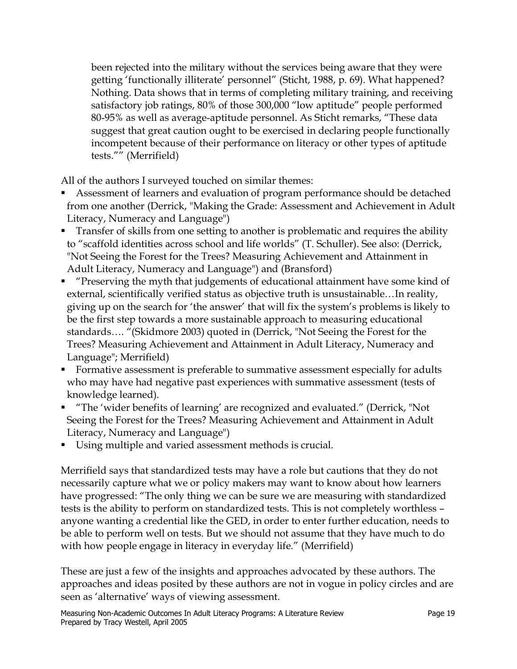been rejected into the military without the services being aware that they were getting 'functionally illiterate' personnel" (Sticht, 1988, p. 69). What happened? Nothing. Data shows that in terms of completing military training, and receiving satisfactory job ratings, 80% of those 300,000 "low aptitude" people performed 80-95% as well as average-aptitude personnel. As Sticht remarks, "These data suggest that great caution ought to be exercised in declaring people functionally incompetent because of their performance on literacy or other types of aptitude tests."" (Merrifield)

All of the authors I surveyed touched on similar themes:

- ! Assessment of learners and evaluation of program performance should be detached from one another (Derrick, "Making the Grade: Assessment and Achievement in Adult Literacy, Numeracy and Language")
- **Transfer of skills from one setting to another is problematic and requires the ability** to "scaffold identities across school and life worlds" (T. Schuller). See also: (Derrick, "Not Seeing the Forest for the Trees? Measuring Achievement and Attainment in Adult Literacy, Numeracy and Language") and (Bransford)
- ! "Preserving the myth that judgements of educational attainment have some kind of external, scientifically verified status as objective truth is unsustainable…In reality, giving up on the search for 'the answer' that will fix the system's problems is likely to be the first step towards a more sustainable approach to measuring educational standards…. "(Skidmore 2003) quoted in (Derrick, "Not Seeing the Forest for the Trees? Measuring Achievement and Attainment in Adult Literacy, Numeracy and Language"; Merrifield)
- ! Formative assessment is preferable to summative assessment especially for adults who may have had negative past experiences with summative assessment (tests of knowledge learned).
- ! "The 'wider benefits of learning' are recognized and evaluated." (Derrick, "Not Seeing the Forest for the Trees? Measuring Achievement and Attainment in Adult Literacy, Numeracy and Language")
- ! Using multiple and varied assessment methods is crucial.

Merrifield says that standardized tests may have a role but cautions that they do not necessarily capture what we or policy makers may want to know about how learners have progressed: "The only thing we can be sure we are measuring with standardized tests is the ability to perform on standardized tests. This is not completely worthless – anyone wanting a credential like the GED, in order to enter further education, needs to be able to perform well on tests. But we should not assume that they have much to do with how people engage in literacy in everyday life." (Merrifield)

These are just a few of the insights and approaches advocated by these authors. The approaches and ideas posited by these authors are not in vogue in policy circles and are seen as 'alternative' ways of viewing assessment.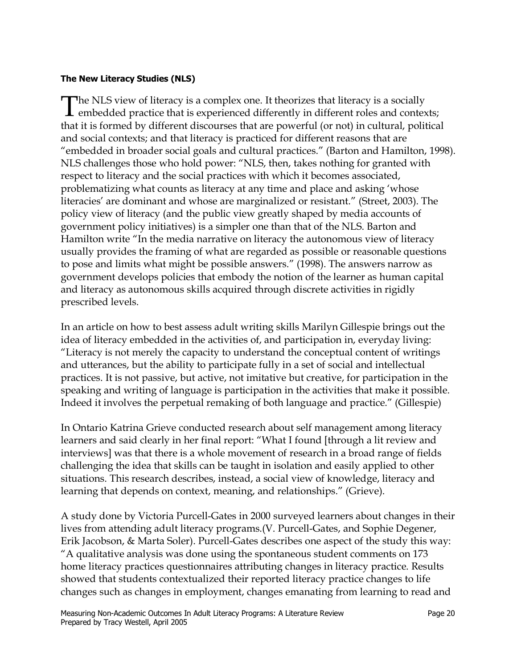#### **The New Literacy Studies (NLS)**

The NLS view of literacy is a complex one. It theorizes that literacy is a socially<br>embedded practice that is experienced differently in different roles and contexts; that it is formed by different discourses that are powerful (or not) in cultural, political and social contexts; and that literacy is practiced for different reasons that are "embedded in broader social goals and cultural practices." (Barton and Hamilton, 1998). NLS challenges those who hold power: "NLS, then, takes nothing for granted with respect to literacy and the social practices with which it becomes associated, problematizing what counts as literacy at any time and place and asking 'whose literacies' are dominant and whose are marginalized or resistant." (Street, 2003). The policy view of literacy (and the public view greatly shaped by media accounts of government policy initiatives) is a simpler one than that of the NLS. Barton and Hamilton write "In the media narrative on literacy the autonomous view of literacy usually provides the framing of what are regarded as possible or reasonable questions to pose and limits what might be possible answers." (1998). The answers narrow as government develops policies that embody the notion of the learner as human capital and literacy as autonomous skills acquired through discrete activities in rigidly prescribed levels.

In an article on how to best assess adult writing skills Marilyn Gillespie brings out the idea of literacy embedded in the activities of, and participation in, everyday living: "Literacy is not merely the capacity to understand the conceptual content of writings and utterances, but the ability to participate fully in a set of social and intellectual practices. It is not passive, but active, not imitative but creative, for participation in the speaking and writing of language is participation in the activities that make it possible. Indeed it involves the perpetual remaking of both language and practice." (Gillespie)

In Ontario Katrina Grieve conducted research about self management among literacy learners and said clearly in her final report: "What I found [through a lit review and interviews] was that there is a whole movement of research in a broad range of fields challenging the idea that skills can be taught in isolation and easily applied to other situations. This research describes, instead, a social view of knowledge, literacy and learning that depends on context, meaning, and relationships." (Grieve).

A study done by Victoria Purcell-Gates in 2000 surveyed learners about changes in their lives from attending adult literacy programs.(V. Purcell-Gates, and Sophie Degener, Erik Jacobson, & Marta Soler). Purcell-Gates describes one aspect of the study this way: "A qualitative analysis was done using the spontaneous student comments on 173 home literacy practices questionnaires attributing changes in literacy practice. Results showed that students contextualized their reported literacy practice changes to life changes such as changes in employment, changes emanating from learning to read and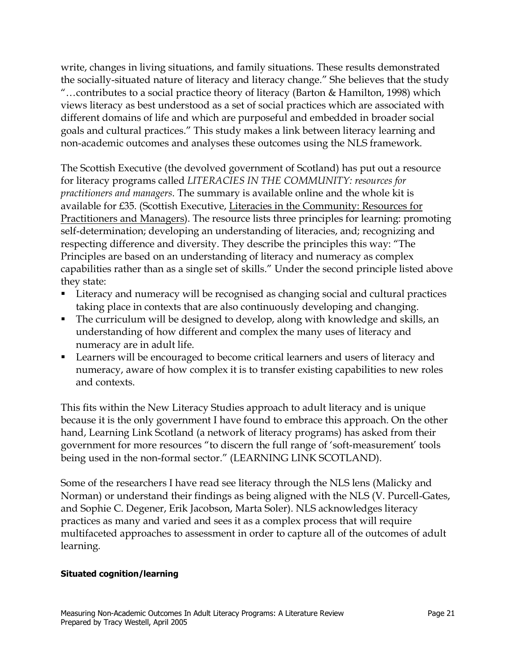write, changes in living situations, and family situations. These results demonstrated the socially-situated nature of literacy and literacy change." She believes that the study "…contributes to a social practice theory of literacy (Barton & Hamilton, 1998) which views literacy as best understood as a set of social practices which are associated with different domains of life and which are purposeful and embedded in broader social goals and cultural practices." This study makes a link between literacy learning and non-academic outcomes and analyses these outcomes using the NLS framework.

The Scottish Executive (the devolved government of Scotland) has put out a resource for literacy programs called *LITERACIES IN THE COMMUNITY: resources for practitioners and managers*. The summary is available online and the whole kit is available for £35. (Scottish Executive, Literacies in the Community: Resources for Practitioners and Managers). The resource lists three principles for learning: promoting self-determination; developing an understanding of literacies, and; recognizing and respecting difference and diversity. They describe the principles this way: "The Principles are based on an understanding of literacy and numeracy as complex capabilities rather than as a single set of skills." Under the second principle listed above they state:

- ! Literacy and numeracy will be recognised as changing social and cultural practices taking place in contexts that are also continuously developing and changing.
- ! The curriculum will be designed to develop, along with knowledge and skills, an understanding of how different and complex the many uses of literacy and numeracy are in adult life.
- ! Learners will be encouraged to become critical learners and users of literacy and numeracy, aware of how complex it is to transfer existing capabilities to new roles and contexts.

This fits within the New Literacy Studies approach to adult literacy and is unique because it is the only government I have found to embrace this approach. On the other hand, Learning Link Scotland (a network of literacy programs) has asked from their government for more resources "to discern the full range of 'soft-measurement' tools being used in the non-formal sector." (LEARNING LINK SCOTLAND).

Some of the researchers I have read see literacy through the NLS lens (Malicky and Norman) or understand their findings as being aligned with the NLS (V. Purcell-Gates, and Sophie C. Degener, Erik Jacobson, Marta Soler). NLS acknowledges literacy practices as many and varied and sees it as a complex process that will require multifaceted approaches to assessment in order to capture all of the outcomes of adult learning.

#### **Situated cognition/learning**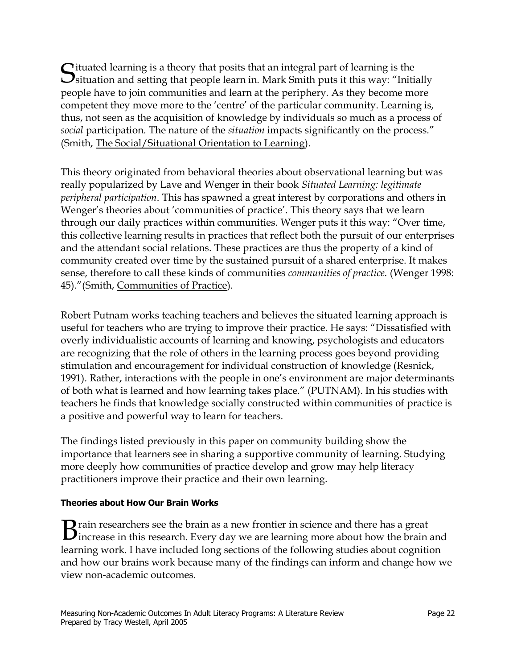Situated learning is a theory that posits that an integral part of learning is the Situation and setting that people learn in. Mark Smith puts it this way: "Initially people have to join communities and learn at the periphery. As they become more competent they move more to the 'centre' of the particular community. Learning is, thus, not seen as the acquisition of knowledge by individuals so much as a process of *social* participation. The nature of the *situation* impacts significantly on the process." (Smith, The Social/Situational Orientation to Learning).

This theory originated from behavioral theories about observational learning but was really popularized by Lave and Wenger in their book *Situated Learning: legitimate peripheral participation*. This has spawned a great interest by corporations and others in Wenger's theories about 'communities of practice'. This theory says that we learn through our daily practices within communities. Wenger puts it this way: "Over time, this collective learning results in practices that reflect both the pursuit of our enterprises and the attendant social relations. These practices are thus the property of a kind of community created over time by the sustained pursuit of a shared enterprise. It makes sense, therefore to call these kinds of communities *communities of practice*. (Wenger 1998: 45)."(Smith, Communities of Practice).

Robert Putnam works teaching teachers and believes the situated learning approach is useful for teachers who are trying to improve their practice. He says: "Dissatisfied with overly individualistic accounts of learning and knowing, psychologists and educators are recognizing that the role of others in the learning process goes beyond providing stimulation and encouragement for individual construction of knowledge (Resnick, 1991). Rather, interactions with the people in one's environment are major determinants of both what is learned and how learning takes place." (PUTNAM). In his studies with teachers he finds that knowledge socially constructed within communities of practice is a positive and powerful way to learn for teachers.

The findings listed previously in this paper on community building show the importance that learners see in sharing a supportive community of learning. Studying more deeply how communities of practice develop and grow may help literacy practitioners improve their practice and their own learning.

## **Theories about How Our Brain Works**

**B** rain researchers see the brain as a new frontier in science and there has a great increase in this research. Every day we are learning more about how the brain and learning work. I have included long sections of the following studies about cognition and how our brains work because many of the findings can inform and change how we view non-academic outcomes.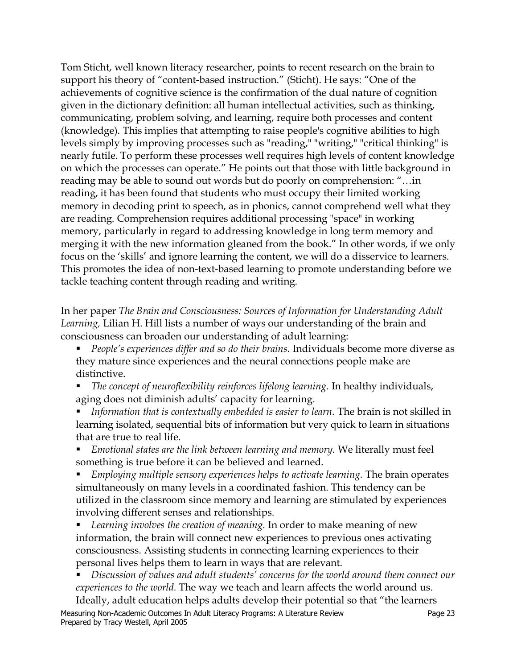Tom Sticht, well known literacy researcher, points to recent research on the brain to support his theory of "content-based instruction." (Sticht). He says: "One of the achievements of cognitive science is the confirmation of the dual nature of cognition given in the dictionary definition: all human intellectual activities, such as thinking, communicating, problem solving, and learning, require both processes and content (knowledge). This implies that attempting to raise people's cognitive abilities to high levels simply by improving processes such as "reading," "writing," "critical thinking" is nearly futile. To perform these processes well requires high levels of content knowledge on which the processes can operate." He points out that those with little background in reading may be able to sound out words but do poorly on comprehension: "…in reading, it has been found that students who must occupy their limited working memory in decoding print to speech, as in phonics, cannot comprehend well what they are reading. Comprehension requires additional processing "space" in working memory, particularly in regard to addressing knowledge in long term memory and merging it with the new information gleaned from the book." In other words, if we only focus on the 'skills' and ignore learning the content, we will do a disservice to learners. This promotes the idea of non-text-based learning to promote understanding before we tackle teaching content through reading and writing.

In her paper *The Brain and Consciousness: Sources of Information for Understanding Adult Learning,* Lilian H. Hill lists a number of ways our understanding of the brain and consciousness can broaden our understanding of adult learning:

- ! *People's experiences differ and so do their brains.* Individuals become more diverse as they mature since experiences and the neural connections people make are distinctive.
- ! *The concept of neuroflexibility reinforces lifelong learning.* In healthy individuals, aging does not diminish adults' capacity for learning.
- ! *Information that is contextually embedded is easier to learn.* The brain is not skilled in learning isolated, sequential bits of information but very quick to learn in situations that are true to real life.
- ! *Emotional states are the link between learning and memory.* We literally must feel something is true before it can be believed and learned.

! *Employing multiple sensory experiences helps to activate learning.* The brain operates simultaneously on many levels in a coordinated fashion. This tendency can be utilized in the classroom since memory and learning are stimulated by experiences involving different senses and relationships.

! *Learning involves the creation of meaning.* In order to make meaning of new information, the brain will connect new experiences to previous ones activating consciousness. Assisting students in connecting learning experiences to their personal lives helps them to learn in ways that are relevant.

! *Discussion of values and adult students' concerns for the world around them connect our experiences to the world.* The way we teach and learn affects the world around us.

Ideally, adult education helps adults develop their potential so that "the learners Measuring Non-Academic Outcomes In Adult Literacy Programs: A Literature Review Page 23 Prepared by Tracy Westell, April 2005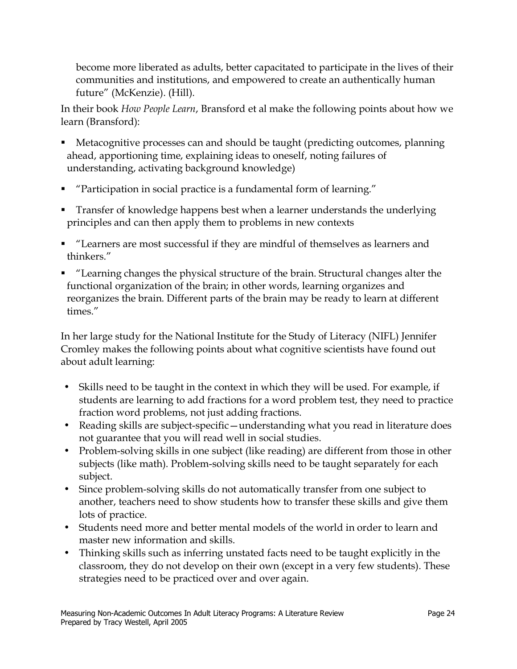become more liberated as adults, better capacitated to participate in the lives of their communities and institutions, and empowered to create an authentically human future" (McKenzie). (Hill).

In their book *How People Learn*, Bransford et al make the following points about how we learn (Bransford):

- ! Metacognitive processes can and should be taught (predicting outcomes, planning ahead, apportioning time, explaining ideas to oneself, noting failures of understanding, activating background knowledge)
- ! "Participation in social practice is a fundamental form of learning."
- ! Transfer of knowledge happens best when a learner understands the underlying principles and can then apply them to problems in new contexts
- ! "Learners are most successful if they are mindful of themselves as learners and thinkers."
- ! "Learning changes the physical structure of the brain. Structural changes alter the functional organization of the brain; in other words, learning organizes and reorganizes the brain. Different parts of the brain may be ready to learn at different times."

In her large study for the National Institute for the Study of Literacy (NIFL) Jennifer Cromley makes the following points about what cognitive scientists have found out about adult learning:

- Skills need to be taught in the context in which they will be used. For example, if students are learning to add fractions for a word problem test, they need to practice fraction word problems, not just adding fractions.
- Reading skills are subject-specific—understanding what you read in literature does not guarantee that you will read well in social studies.
- Problem-solving skills in one subject (like reading) are different from those in other subjects (like math). Problem-solving skills need to be taught separately for each subject.
- Since problem-solving skills do not automatically transfer from one subject to another, teachers need to show students how to transfer these skills and give them lots of practice.
- Students need more and better mental models of the world in order to learn and master new information and skills.
- Thinking skills such as inferring unstated facts need to be taught explicitly in the classroom, they do not develop on their own (except in a very few students). These strategies need to be practiced over and over again.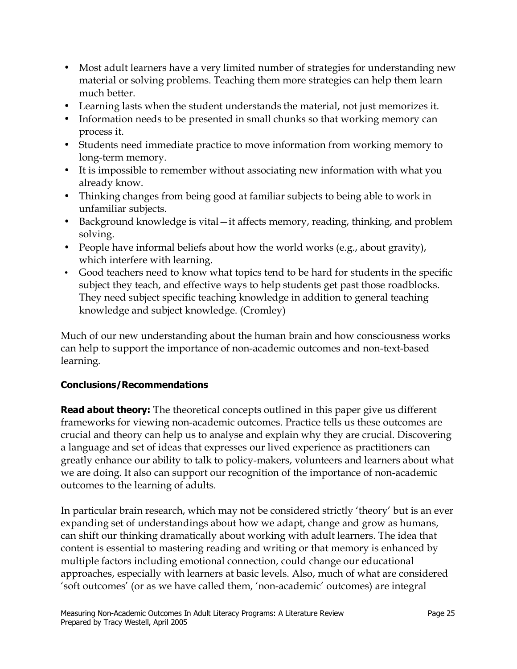- Most adult learners have a very limited number of strategies for understanding new material or solving problems. Teaching them more strategies can help them learn much better.
- Learning lasts when the student understands the material, not just memorizes it.
- Information needs to be presented in small chunks so that working memory can process it.
- Students need immediate practice to move information from working memory to long-term memory.
- It is impossible to remember without associating new information with what you already know.
- Thinking changes from being good at familiar subjects to being able to work in unfamiliar subjects.
- Background knowledge is vital—it affects memory, reading, thinking, and problem solving.
- People have informal beliefs about how the world works (e.g., about gravity), which interfere with learning.
- Good teachers need to know what topics tend to be hard for students in the specific subject they teach, and effective ways to help students get past those roadblocks. They need subject specific teaching knowledge in addition to general teaching knowledge and subject knowledge. (Cromley)

Much of our new understanding about the human brain and how consciousness works can help to support the importance of non-academic outcomes and non-text-based learning.

# **Conclusions/Recommendations**

**Read about theory:** The theoretical concepts outlined in this paper give us different frameworks for viewing non-academic outcomes. Practice tells us these outcomes are crucial and theory can help us to analyse and explain why they are crucial. Discovering a language and set of ideas that expresses our lived experience as practitioners can greatly enhance our ability to talk to policy-makers, volunteers and learners about what we are doing. It also can support our recognition of the importance of non-academic outcomes to the learning of adults.

In particular brain research, which may not be considered strictly 'theory' but is an ever expanding set of understandings about how we adapt, change and grow as humans, can shift our thinking dramatically about working with adult learners. The idea that content is essential to mastering reading and writing or that memory is enhanced by multiple factors including emotional connection, could change our educational approaches, especially with learners at basic levels. Also, much of what are considered 'soft outcomes' (or as we have called them, 'non-academic' outcomes) are integral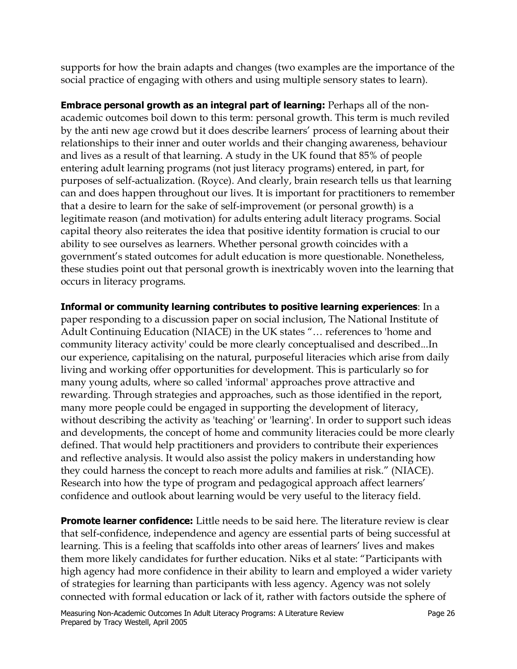supports for how the brain adapts and changes (two examples are the importance of the social practice of engaging with others and using multiple sensory states to learn).

**Embrace personal growth as an integral part of learning:** Perhaps all of the nonacademic outcomes boil down to this term: personal growth. This term is much reviled by the anti new age crowd but it does describe learners' process of learning about their relationships to their inner and outer worlds and their changing awareness, behaviour and lives as a result of that learning. A study in the UK found that 85% of people entering adult learning programs (not just literacy programs) entered, in part, for purposes of self-actualization. (Royce). And clearly, brain research tells us that learning can and does happen throughout our lives. It is important for practitioners to remember that a desire to learn for the sake of self-improvement (or personal growth) is a legitimate reason (and motivation) for adults entering adult literacy programs. Social capital theory also reiterates the idea that positive identity formation is crucial to our ability to see ourselves as learners. Whether personal growth coincides with a government's stated outcomes for adult education is more questionable. Nonetheless, these studies point out that personal growth is inextricably woven into the learning that occurs in literacy programs.

**Informal or community learning contributes to positive learning experiences**: In a paper responding to a discussion paper on social inclusion, The National Institute of Adult Continuing Education (NIACE) in the UK states "… references to 'home and community literacy activity' could be more clearly conceptualised and described...In our experience, capitalising on the natural, purposeful literacies which arise from daily living and working offer opportunities for development. This is particularly so for many young adults, where so called 'informal' approaches prove attractive and rewarding. Through strategies and approaches, such as those identified in the report, many more people could be engaged in supporting the development of literacy, without describing the activity as 'teaching' or 'learning'. In order to support such ideas and developments, the concept of home and community literacies could be more clearly defined. That would help practitioners and providers to contribute their experiences and reflective analysis. It would also assist the policy makers in understanding how they could harness the concept to reach more adults and families at risk." (NIACE). Research into how the type of program and pedagogical approach affect learners' confidence and outlook about learning would be very useful to the literacy field.

**Promote learner confidence:** Little needs to be said here. The literature review is clear that self-confidence, independence and agency are essential parts of being successful at learning. This is a feeling that scaffolds into other areas of learners' lives and makes them more likely candidates for further education. Niks et al state: "Participants with high agency had more confidence in their ability to learn and employed a wider variety of strategies for learning than participants with less agency. Agency was not solely connected with formal education or lack of it, rather with factors outside the sphere of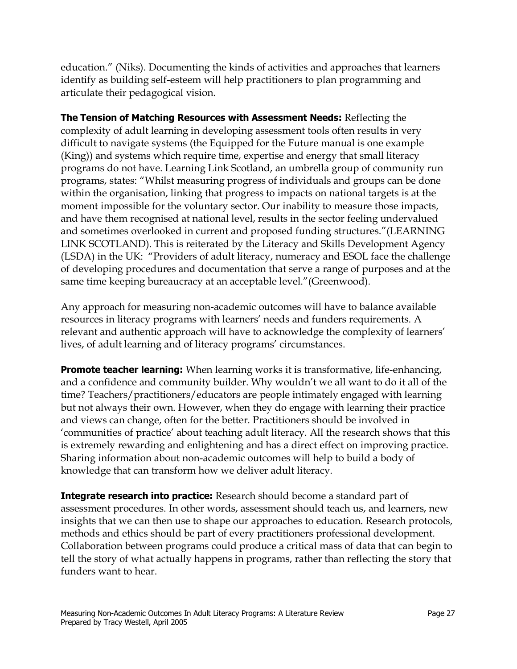education." (Niks). Documenting the kinds of activities and approaches that learners identify as building self-esteem will help practitioners to plan programming and articulate their pedagogical vision.

**The Tension of Matching Resources with Assessment Needs:** Reflecting the complexity of adult learning in developing assessment tools often results in very difficult to navigate systems (the Equipped for the Future manual is one example (King)) and systems which require time, expertise and energy that small literacy programs do not have. Learning Link Scotland, an umbrella group of community run programs, states: "Whilst measuring progress of individuals and groups can be done within the organisation, linking that progress to impacts on national targets is at the moment impossible for the voluntary sector. Our inability to measure those impacts, and have them recognised at national level, results in the sector feeling undervalued and sometimes overlooked in current and proposed funding structures."(LEARNING LINK SCOTLAND). This is reiterated by the Literacy and Skills Development Agency (LSDA) in the UK: "Providers of adult literacy, numeracy and ESOL face the challenge of developing procedures and documentation that serve a range of purposes and at the same time keeping bureaucracy at an acceptable level."(Greenwood).

Any approach for measuring non-academic outcomes will have to balance available resources in literacy programs with learners' needs and funders requirements. A relevant and authentic approach will have to acknowledge the complexity of learners' lives, of adult learning and of literacy programs' circumstances.

**Promote teacher learning:** When learning works it is transformative, life-enhancing, and a confidence and community builder. Why wouldn't we all want to do it all of the time? Teachers/practitioners/educators are people intimately engaged with learning but not always their own. However, when they do engage with learning their practice and views can change, often for the better. Practitioners should be involved in 'communities of practice' about teaching adult literacy. All the research shows that this is extremely rewarding and enlightening and has a direct effect on improving practice. Sharing information about non-academic outcomes will help to build a body of knowledge that can transform how we deliver adult literacy.

**Integrate research into practice:** Research should become a standard part of assessment procedures. In other words, assessment should teach us, and learners, new insights that we can then use to shape our approaches to education. Research protocols, methods and ethics should be part of every practitioners professional development. Collaboration between programs could produce a critical mass of data that can begin to tell the story of what actually happens in programs, rather than reflecting the story that funders want to hear.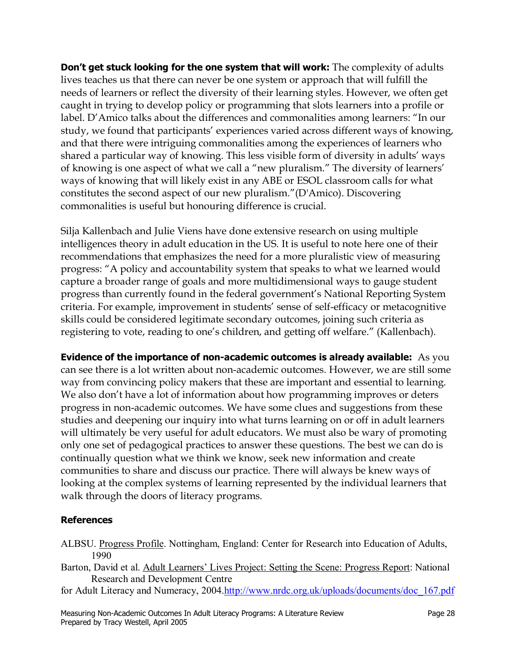**Don't get stuck looking for the one system that will work:** The complexity of adults lives teaches us that there can never be one system or approach that will fulfill the needs of learners or reflect the diversity of their learning styles. However, we often get caught in trying to develop policy or programming that slots learners into a profile or label. D'Amico talks about the differences and commonalities among learners: "In our study, we found that participants' experiences varied across different ways of knowing, and that there were intriguing commonalities among the experiences of learners who shared a particular way of knowing. This less visible form of diversity in adults' ways of knowing is one aspect of what we call a "new pluralism." The diversity of learners' ways of knowing that will likely exist in any ABE or ESOL classroom calls for what constitutes the second aspect of our new pluralism."(D'Amico). Discovering commonalities is useful but honouring difference is crucial.

Silja Kallenbach and Julie Viens have done extensive research on using multiple intelligences theory in adult education in the US. It is useful to note here one of their recommendations that emphasizes the need for a more pluralistic view of measuring progress: "A policy and accountability system that speaks to what we learned would capture a broader range of goals and more multidimensional ways to gauge student progress than currently found in the federal government's National Reporting System criteria. For example, improvement in students' sense of self-efficacy or metacognitive skills could be considered legitimate secondary outcomes, joining such criteria as registering to vote, reading to one's children, and getting off welfare." (Kallenbach).

**Evidence of the importance of non-academic outcomes is already available:** As you can see there is a lot written about non-academic outcomes. However, we are still some way from convincing policy makers that these are important and essential to learning. We also don't have a lot of information about how programming improves or deters progress in non-academic outcomes. We have some clues and suggestions from these studies and deepening our inquiry into what turns learning on or off in adult learners will ultimately be very useful for adult educators. We must also be wary of promoting only one set of pedagogical practices to answer these questions. The best we can do is continually question what we think we know, seek new information and create communities to share and discuss our practice. There will always be knew ways of looking at the complex systems of learning represented by the individual learners that walk through the doors of literacy programs.

## **References**

- ALBSU. Progress Profile. Nottingham, England: Center for Research into Education of Adults, 1990
- Barton, David et al. Adult Learners' Lives Project: Setting the Scene: Progress Report: National Research and Development Centre
- for Adult Literacy and Numeracy, 2004.http://www.nrdc.org.uk/uploads/documents/doc\_167.pdf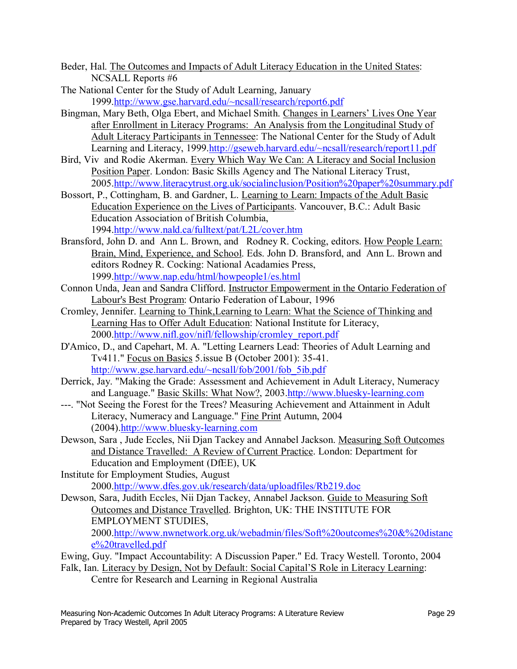- Beder, Hal. The Outcomes and Impacts of Adult Literacy Education in the United States: NCSALL Reports #6
- The National Center for the Study of Adult Learning, January 1999.http://www.gse.harvard.edu/~ncsall/research/report6.pdf
- Bingman, Mary Beth, Olga Ebert, and Michael Smith. Changes in Learners' Lives One Year after Enrollment in Literacy Programs: An Analysis from the Longitudinal Study of Adult Literacy Participants in Tennessee: The National Center for the Study of Adult Learning and Literacy, 1999.http://gseweb.harvard.edu/~ncsall/research/report11.pdf
- Bird, Viv and Rodie Akerman. Every Which Way We Can: A Literacy and Social Inclusion Position Paper. London: Basic Skills Agency and The National Literacy Trust, 2005.http://www.literacytrust.org.uk/socialinclusion/Position%20paper%20summary.pdf
- Bossort, P., Cottingham, B. and Gardner, L. Learning to Learn: Impacts of the Adult Basic Education Experience on the Lives of Participants. Vancouver, B.C.: Adult Basic Education Association of British Columbia, 1994.http://www.nald.ca/fulltext/pat/L2L/cover.htm
- Bransford, John D. and Ann L. Brown, and Rodney R. Cocking, editors. How People Learn: Brain, Mind, Experience, and School. Eds. John D. Bransford, and Ann L. Brown and editors Rodney R. Cocking: National Acadamies Press, 1999.http://www.nap.edu/html/howpeople1/es.html
- Connon Unda, Jean and Sandra Clifford. Instructor Empowerment in the Ontario Federation of Labour's Best Program: Ontario Federation of Labour, 1996
- Cromley, Jennifer. Learning to Think,Learning to Learn: What the Science of Thinking and Learning Has to Offer Adult Education: National Institute for Literacy, 2000.http://www.nifl.gov/nifl/fellowship/cromley\_report.pdf
- D'Amico, D., and Capehart, M. A. "Letting Learners Lead: Theories of Adult Learning and Tv411." Focus on Basics 5.issue B (October 2001): 35-41. http://www.gse.harvard.edu/~ncsall/fob/2001/fob\_5ib.pdf
- Derrick, Jay. "Making the Grade: Assessment and Achievement in Adult Literacy, Numeracy and Language." Basic Skills: What Now?, 2003.http://www.bluesky-learning.com
- ---. "Not Seeing the Forest for the Trees? Measuring Achievement and Attainment in Adult Literacy, Numeracy and Language." Fine Print Autumn, 2004 (2004).http://www.bluesky-learning.com
- Dewson, Sara , Jude Eccles, Nii Djan Tackey and Annabel Jackson. Measuring Soft Outcomes and Distance Travelled: A Review of Current Practice. London: Department for Education and Employment (DfEE), UK
- Institute for Employment Studies, August 2000.http://www.dfes.gov.uk/research/data/uploadfiles/Rb219.doc
- Dewson, Sara, Judith Eccles, Nii Djan Tackey, Annabel Jackson. Guide to Measuring Soft Outcomes and Distance Travelled. Brighton, UK: THE INSTITUTE FOR EMPLOYMENT STUDIES,

2000.http://www.nwnetwork.org.uk/webadmin/files/Soft%20outcomes%20&%20distanc e%20travelled.pdf

- Ewing, Guy. "Impact Accountability: A Discussion Paper." Ed. Tracy Westell. Toronto, 2004 Falk, Ian. Literacy by Design, Not by Default: Social Capital'S Role in Literacy Learning:
	- Centre for Research and Learning in Regional Australia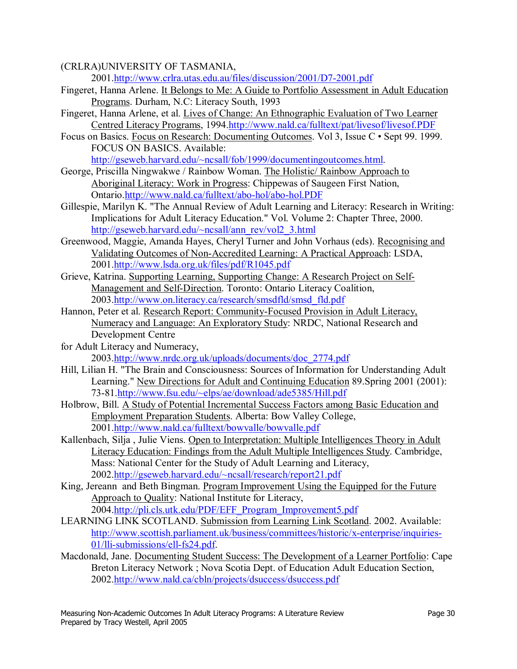#### (CRLRA)UNIVERSITY OF TASMANIA,

2001.http://www.crlra.utas.edu.au/files/discussion/2001/D7-2001.pdf

- Fingeret, Hanna Arlene. It Belongs to Me: A Guide to Portfolio Assessment in Adult Education Programs. Durham, N.C: Literacy South, 1993
- Fingeret, Hanna Arlene, et al. Lives of Change: An Ethnographic Evaluation of Two Learner Centred Literacy Programs, 1994.http://www.nald.ca/fulltext/pat/livesof/livesof.PDF
- Focus on Basics. Focus on Research: Documenting Outcomes. Vol 3, Issue C Sept 99. 1999. FOCUS ON BASICS. Available:

http://gseweb.harvard.edu/~ncsall/fob/1999/documentingoutcomes.html.

- George, Priscilla Ningwakwe / Rainbow Woman. The Holistic/ Rainbow Approach to Aboriginal Literacy: Work in Progress: Chippewas of Saugeen First Nation, Ontario.http://www.nald.ca/fulltext/abo-hol/abo-hol.PDF
- Gillespie, Marilyn K. "The Annual Review of Adult Learning and Literacy: Research in Writing: Implications for Adult Literacy Education." Vol. Volume 2: Chapter Three, 2000. http://gseweb.harvard.edu/~ncsall/ann\_rev/vol2\_3.html
- Greenwood, Maggie, Amanda Hayes, Cheryl Turner and John Vorhaus (eds). Recognising and Validating Outcomes of Non-Accredited Learning: A Practical Approach: LSDA, 2001.http://www.lsda.org.uk/files/pdf/R1045.pdf
- Grieve, Katrina. Supporting Learning, Supporting Change: A Research Project on Self-Management and Self-Direction. Toronto: Ontario Literacy Coalition, 2003.http://www.on.literacy.ca/research/smsdfld/smsd\_fld.pdf
- Hannon, Peter et al. Research Report: Community-Focused Provision in Adult Literacy, Numeracy and Language: An Exploratory Study: NRDC, National Research and Development Centre
- for Adult Literacy and Numeracy, 2003.http://www.nrdc.org.uk/uploads/documents/doc\_2774.pdf
- Hill, Lilian H. "The Brain and Consciousness: Sources of Information for Understanding Adult Learning." New Directions for Adult and Continuing Education 89.Spring 2001 (2001): 73-81.http://www.fsu.edu/~elps/ae/download/ade5385/Hill.pdf
- Holbrow, Bill. A Study of Potential Incremental Success Factors among Basic Education and Employment Preparation Students. Alberta: Bow Valley College, 2001.http://www.nald.ca/fulltext/bowvalle/bowvalle.pdf
- Kallenbach, Silja , Julie Viens. Open to Interpretation: Multiple Intelligences Theory in Adult Literacy Education: Findings from the Adult Multiple Intelligences Study. Cambridge, Mass: National Center for the Study of Adult Learning and Literacy, 2002.http://gseweb.harvard.edu/~ncsall/research/report21.pdf
- King, Jereann and Beth Bingman. Program Improvement Using the Equipped for the Future Approach to Quality: National Institute for Literacy, 2004.http://pli.cls.utk.edu/PDF/EFF\_Program\_Improvement5.pdf
- LEARNING LINK SCOTLAND. Submission from Learning Link Scotland. 2002. Available: http://www.scottish.parliament.uk/business/committees/historic/x-enterprise/inquiries-01/lli-submissions/ell-fs24.pdf.
- Macdonald, Jane. Documenting Student Success: The Development of a Learner Portfolio: Cape Breton Literacy Network ; Nova Scotia Dept. of Education Adult Education Section, 2002.http://www.nald.ca/cbln/projects/dsuccess/dsuccess.pdf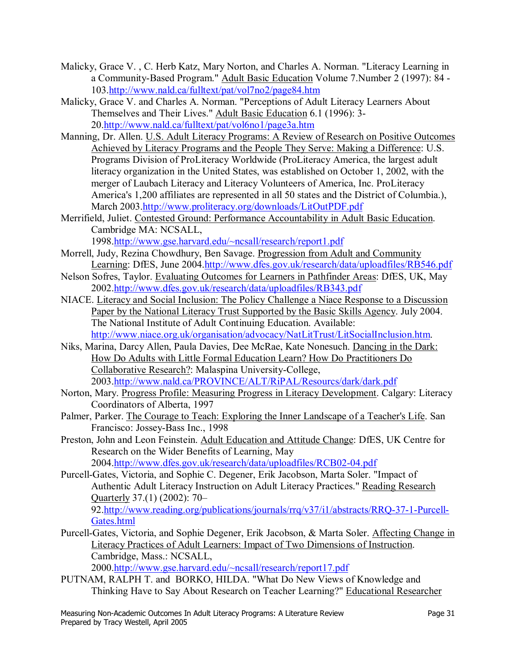- Malicky, Grace V. , C. Herb Katz, Mary Norton, and Charles A. Norman. "Literacy Learning in a Community-Based Program." Adult Basic Education Volume 7.Number 2 (1997): 84 - 103.http://www.nald.ca/fulltext/pat/vol7no2/page84.htm
- Malicky, Grace V. and Charles A. Norman. "Perceptions of Adult Literacy Learners About Themselves and Their Lives." Adult Basic Education 6.1 (1996): 3- 20.http://www.nald.ca/fulltext/pat/vol6no1/page3a.htm
- Manning, Dr. Allen. U.S. Adult Literacy Programs: A Review of Research on Positive Outcomes Achieved by Literacy Programs and the People They Serve: Making a Difference: U.S. Programs Division of ProLiteracy Worldwide (ProLiteracy America, the largest adult literacy organization in the United States, was established on October 1, 2002, with the merger of Laubach Literacy and Literacy Volunteers of America, Inc. ProLiteracy America's 1,200 affiliates are represented in all 50 states and the District of Columbia.), March 2003.http://www.proliteracy.org/downloads/LitOutPDF.pdf
- Merrifield, Juliet. Contested Ground: Performance Accountability in Adult Basic Education. Cambridge MA: NCSALL,
	- 1998.http://www.gse.harvard.edu/~ncsall/research/report1.pdf
- Morrell, Judy, Rezina Chowdhury, Ben Savage. Progression from Adult and Community Learning: DfES, June 2004.http://www.dfes.gov.uk/research/data/uploadfiles/RB546.pdf
- Nelson Sofres, Taylor. Evaluating Outcomes for Learners in Pathfinder Areas: DfES, UK, May 2002.http://www.dfes.gov.uk/research/data/uploadfiles/RB343.pdf
- NIACE. Literacy and Social Inclusion: The Policy Challenge a Niace Response to a Discussion Paper by the National Literacy Trust Supported by the Basic Skills Agency. July 2004. The National Institute of Adult Continuing Education. Available: http://www.niace.org.uk/organisation/advocacy/NatLitTrust/LitSocialInclusion.htm.
- Niks, Marina, Darcy Allen, Paula Davies, Dee McRae, Kate Nonesuch. Dancing in the Dark: How Do Adults with Little Formal Education Learn? How Do Practitioners Do Collaborative Research?: Malaspina University-College, 2003.http://www.nald.ca/PROVINCE/ALT/RiPAL/Resourcs/dark/dark.pdf
- Norton, Mary. Progress Profile: Measuring Progress in Literacy Development. Calgary: Literacy Coordinators of Alberta, 1997
- Palmer, Parker. The Courage to Teach: Exploring the Inner Landscape of a Teacher's Life. San Francisco: Jossey-Bass Inc., 1998
- Preston, John and Leon Feinstein. Adult Education and Attitude Change: DfES, UK Centre for Research on the Wider Benefits of Learning, May 2004.http://www.dfes.gov.uk/research/data/uploadfiles/RCB02-04.pdf
- Purcell-Gates, Victoria, and Sophie C. Degener, Erik Jacobson, Marta Soler. "Impact of Authentic Adult Literacy Instruction on Adult Literacy Practices." Reading Research Quarterly  $37(1)$  (2002): 70– 92.http://www.reading.org/publications/journals/rrq/v37/i1/abstracts/RRQ-37-1-Purcell-Gates.html
- Purcell-Gates, Victoria, and Sophie Degener, Erik Jacobson, & Marta Soler. Affecting Change in Literacy Practices of Adult Learners: Impact of Two Dimensions of Instruction. Cambridge, Mass.: NCSALL, 2000.http://www.gse.harvard.edu/~ncsall/research/report17.pdf
- PUTNAM, RALPH T. and BORKO, HILDA. "What Do New Views of Knowledge and Thinking Have to Say About Research on Teacher Learning?" Educational Researcher